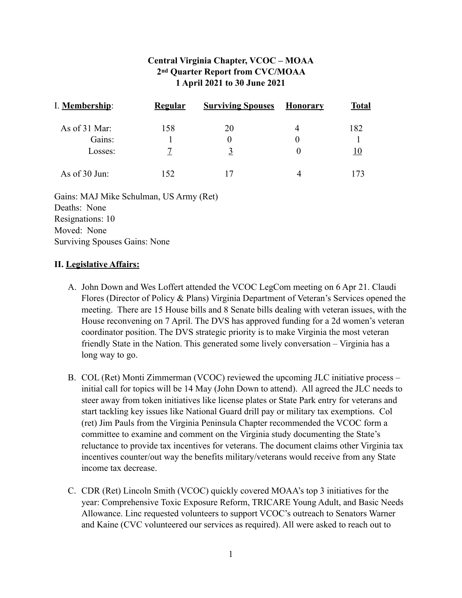# **Central Virginia Chapter, VCOC – MOAA 2nd Quarter Report from CVC/MOAA 1 April 2021 to 30 June 2021**

| I. Membership:  | Regular | <b>Surviving Spouses</b> | Honorary       | <b>Total</b> |
|-----------------|---------|--------------------------|----------------|--------------|
| As of 31 Mar:   | 158     | 20                       | $\overline{A}$ | 182          |
| Gains:          |         | 0                        |                |              |
| Losses:         |         |                          |                |              |
| As of $30$ Jun: | 152     |                          |                |              |

Gains: MAJ Mike Schulman, US Army (Ret) Deaths: None Resignations: 10 Moved: None Surviving Spouses Gains: None

#### **II. Legislative Affairs:**

- A. John Down and Wes Loffert attended the VCOC LegCom meeting on 6 Apr 21. Claudi Flores (Director of Policy & Plans) Virginia Department of Veteran's Services opened the meeting. There are 15 House bills and 8 Senate bills dealing with veteran issues, with the House reconvening on 7 April. The DVS has approved funding for a 2d women's veteran coordinator position. The DVS strategic priority is to make Virginia the most veteran friendly State in the Nation. This generated some lively conversation – Virginia has a long way to go.
- B. COL (Ret) Monti Zimmerman (VCOC) reviewed the upcoming JLC initiative process initial call for topics will be 14 May (John Down to attend). All agreed the JLC needs to steer away from token initiatives like license plates or State Park entry for veterans and start tackling key issues like National Guard drill pay or military tax exemptions. Col (ret) Jim Pauls from the Virginia Peninsula Chapter recommended the VCOC form a committee to examine and comment on the Virginia study documenting the State's reluctance to provide tax incentives for veterans. The document claims other Virginia tax incentives counter/out way the benefits military/veterans would receive from any State income tax decrease.
- C. CDR (Ret) Lincoln Smith (VCOC) quickly covered MOAA's top 3 initiatives for the year: Comprehensive Toxic Exposure Reform, TRICARE Young Adult, and Basic Needs Allowance. Linc requested volunteers to support VCOC's outreach to Senators Warner and Kaine (CVC volunteered our services as required). All were asked to reach out to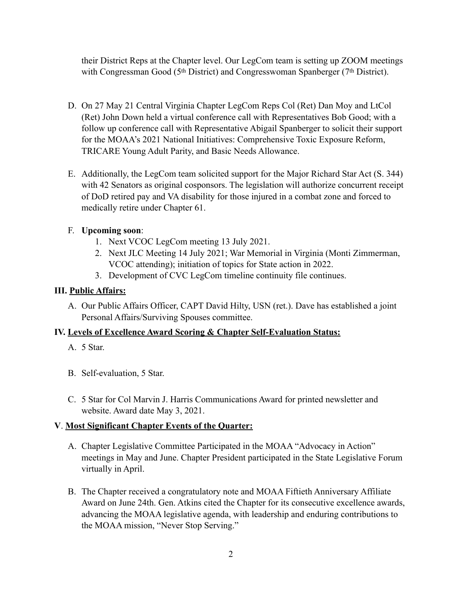their District Reps at the Chapter level. Our LegCom team is setting up ZOOM meetings with Congressman Good (5<sup>th</sup> District) and Congresswoman Spanberger (7<sup>th</sup> District).

- D. On 27 May 21 Central Virginia Chapter LegCom Reps Col (Ret) Dan Moy and LtCol (Ret) John Down held a virtual conference call with Representatives Bob Good; with a follow up conference call with Representative Abigail Spanberger to solicit their support for the MOAA's 2021 National Initiatives: Comprehensive Toxic Exposure Reform, TRICARE Young Adult Parity, and Basic Needs Allowance.
- E. Additionally, the LegCom team solicited support for the Major Richard Star Act (S. 344) with 42 Senators as original cosponsors. The legislation will authorize concurrent receipt of DoD retired pay and VA disability for those injured in a combat zone and forced to medically retire under Chapter 61.

## F. **Upcoming soon**:

- 1. Next VCOC LegCom meeting 13 July 2021.
- 2. Next JLC Meeting 14 July 2021; War Memorial in Virginia (Monti Zimmerman, VCOC attending); initiation of topics for State action in 2022.
- 3. Development of CVC LegCom timeline continuity file continues.

## **III. Public Affairs:**

A. Our Public Affairs Officer, CAPT David Hilty, USN (ret.). Dave has established a joint Personal Affairs/Surviving Spouses committee.

### **IV. Levels of Excellence Award Scoring & Chapter Self-Evaluation Status:**

- A. 5 Star.
- B. Self-evaluation, 5 Star.
- C. 5 Star for Col Marvin J. Harris Communications Award for printed newsletter and website. Award date May 3, 2021.

### **V**. **Most Significant Chapter Events of the Quarter:**

- A. Chapter Legislative Committee Participated in the MOAA "Advocacy in Action" meetings in May and June. Chapter President participated in the State Legislative Forum virtually in April.
- B. The Chapter received a congratulatory note and MOAA Fiftieth Anniversary Affiliate Award on June 24th. Gen. Atkins cited the Chapter for its consecutive excellence awards, advancing the MOAA legislative agenda, with leadership and enduring contributions to the MOAA mission, "Never Stop Serving."